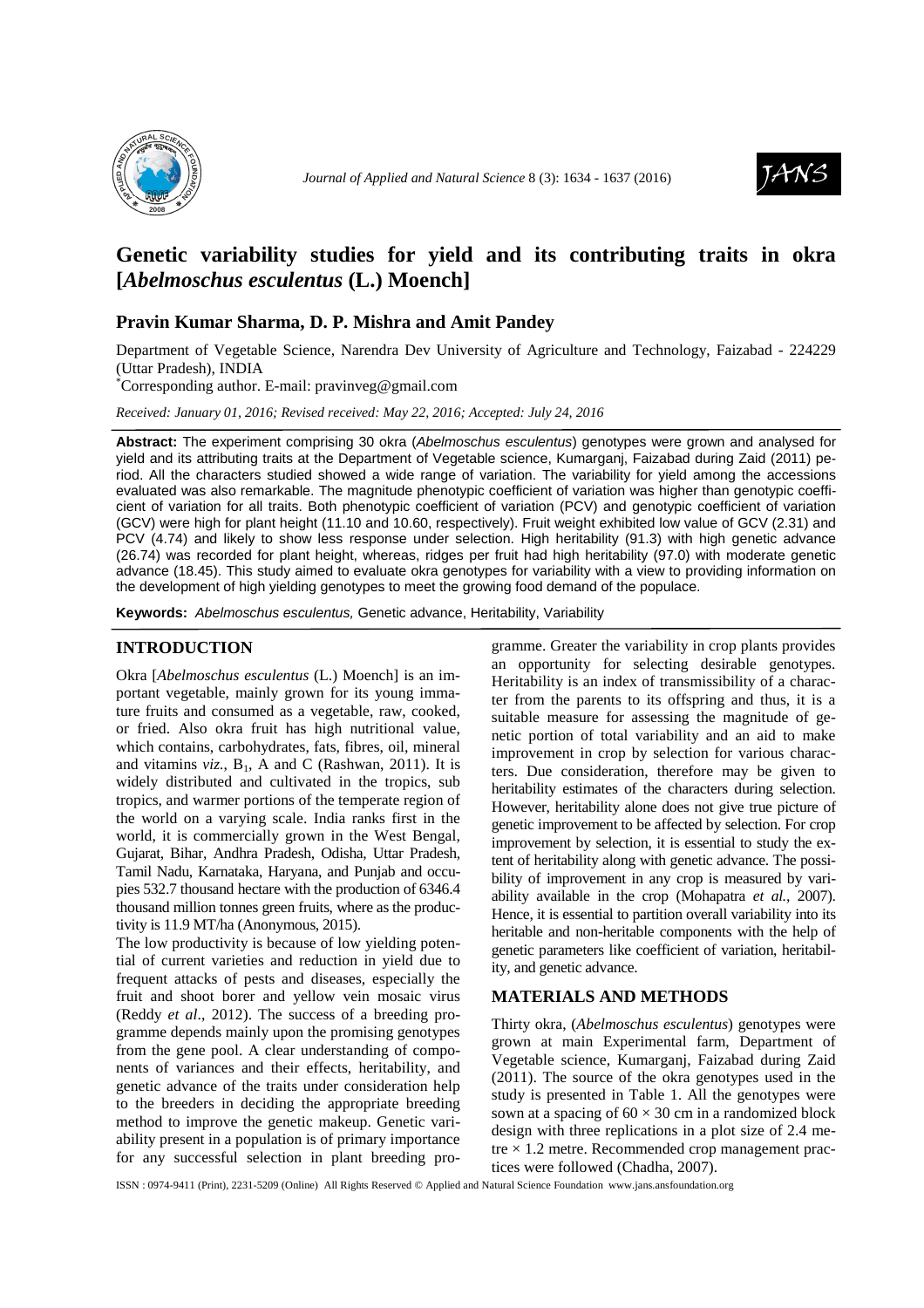



# **Genetic variability studies for yield and its contributing traits in okra [***Abelmoschus esculentus* **(L.) Moench]**

## **Pravin Kumar Sharma, D. P. Mishra and Amit Pandey**

Department of Vegetable Science, Narendra Dev University of Agriculture and Technology, Faizabad - 224229 (Uttar Pradesh), INDIA

\*Corresponding author. E-mail: pravinveg@gmail.com

*Received: January 01, 2016; Revised received: May 22, 2016; Accepted: July 24, 2016*

**Abstract:** The experiment comprising 30 okra (Abelmoschus esculentus) genotypes were grown and analysed for yield and its attributing traits at the Department of Vegetable science, Kumarganj, Faizabad during Zaid (2011) period. All the characters studied showed a wide range of variation. The variability for yield among the accessions evaluated was also remarkable. The magnitude phenotypic coefficient of variation was higher than genotypic coefficient of variation for all traits. Both phenotypic coefficient of variation (PCV) and genotypic coefficient of variation (GCV) were high for plant height (11.10 and 10.60, respectively). Fruit weight exhibited low value of GCV (2.31) and PCV (4.74) and likely to show less response under selection. High heritability (91.3) with high genetic advance (26.74) was recorded for plant height, whereas, ridges per fruit had high heritability (97.0) with moderate genetic advance (18.45). This study aimed to evaluate okra genotypes for variability with a view to providing information on the development of high yielding genotypes to meet the growing food demand of the populace.

**Keywords:** Abelmoschus esculentus, Genetic advance, Heritability, Variability

#### **INTRODUCTION**

Okra [*Abelmoschus esculentus* (L.) Moench] is an important vegetable, mainly grown for its young immature fruits and consumed as a vegetable, raw, cooked, or fried. Also okra fruit has high nutritional value, which contains, carbohydrates, fats, fibres, oil, mineral and vitamins  $viz.$ ,  $B<sub>1</sub>$ , A and C (Rashwan, 2011). It is widely distributed and cultivated in the tropics, sub tropics, and warmer portions of the temperate region of the world on a varying scale. India ranks first in the world, it is commercially grown in the West Bengal, Gujarat, Bihar, Andhra Pradesh, Odisha, Uttar Pradesh, Tamil Nadu, Karnataka, Haryana, and Punjab and occupies 532.7 thousand hectare with the production of 6346.4 thousand million tonnes green fruits, where as the productivity is 11.9 MT/ha (Anonymous, 2015).

The low productivity is because of low yielding potential of current varieties and reduction in yield due to frequent attacks of pests and diseases, especially the fruit and shoot borer and yellow vein mosaic virus (Reddy *et al*., 2012). The success of a breeding programme depends mainly upon the promising genotypes from the gene pool. A clear understanding of components of variances and their effects, heritability, and genetic advance of the traits under consideration help to the breeders in deciding the appropriate breeding method to improve the genetic makeup. Genetic variability present in a population is of primary importance for any successful selection in plant breeding pro-

gramme. Greater the variability in crop plants provides an opportunity for selecting desirable genotypes. Heritability is an index of transmissibility of a character from the parents to its offspring and thus, it is a suitable measure for assessing the magnitude of genetic portion of total variability and an aid to make improvement in crop by selection for various characters. Due consideration, therefore may be given to heritability estimates of the characters during selection. However, heritability alone does not give true picture of genetic improvement to be affected by selection. For crop improvement by selection, it is essential to study the extent of heritability along with genetic advance. The possibility of improvement in any crop is measured by variability available in the crop (Mohapatra *et al.,* 2007). Hence, it is essential to partition overall variability into its heritable and non-heritable components with the help of genetic parameters like coefficient of variation, heritability, and genetic advance.

#### **MATERIALS AND METHODS**

Thirty okra, (*Abelmoschus esculentus*) genotypes were grown at main Experimental farm, Department of Vegetable science, Kumarganj, Faizabad during Zaid (2011). The source of the okra genotypes used in the study is presented in Table 1. All the genotypes were sown at a spacing of  $60 \times 30$  cm in a randomized block design with three replications in a plot size of 2.4 metre  $\times$  1.2 metre. Recommended crop management practices were followed (Chadha, 2007).

ISSN : 0974-9411 (Print), 2231-5209 (Online) All Rights Reserved © Applied and Natural Science Foundation www.jans.ansfoundation.org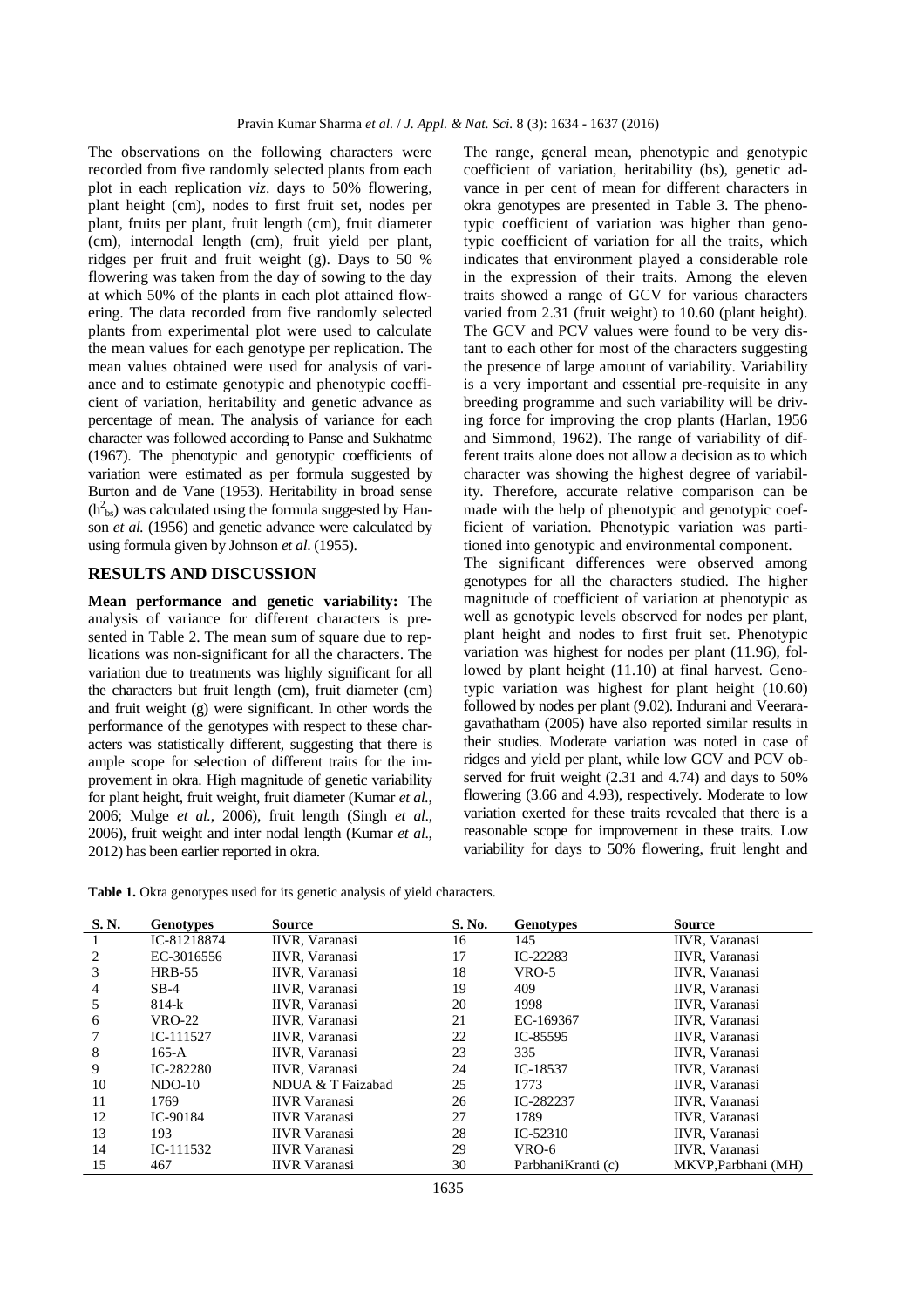The observations on the following characters were recorded from five randomly selected plants from each plot in each replication *viz*. days to 50% flowering, plant height (cm), nodes to first fruit set, nodes per plant, fruits per plant, fruit length (cm), fruit diameter (cm), internodal length (cm), fruit yield per plant, ridges per fruit and fruit weight (g). Days to 50 % flowering was taken from the day of sowing to the day at which 50% of the plants in each plot attained flowering. The data recorded from five randomly selected plants from experimental plot were used to calculate the mean values for each genotype per replication. The mean values obtained were used for analysis of variance and to estimate genotypic and phenotypic coefficient of variation, heritability and genetic advance as percentage of mean. The analysis of variance for each character was followed according to Panse and Sukhatme (1967). The phenotypic and genotypic coefficients of variation were estimated as per formula suggested by Burton and de Vane (1953). Heritability in broad sense  $(h<sup>2</sup><sub>bs</sub>)$  was calculated using the formula suggested by Hanson *et al.* (1956) and genetic advance were calculated by using formula given by Johnson *et al*. (1955).

### **RESULTS AND DISCUSSION**

**Mean performance and genetic variability:** The analysis of variance for different characters is presented in Table 2. The mean sum of square due to replications was non-significant for all the characters. The variation due to treatments was highly significant for all the characters but fruit length (cm), fruit diameter (cm) and fruit weight (g) were significant. In other words the performance of the genotypes with respect to these characters was statistically different, suggesting that there is ample scope for selection of different traits for the improvement in okra. High magnitude of genetic variability for plant height, fruit weight, fruit diameter (Kumar *et al.*, 2006; Mulge *et al.*, 2006), fruit length (Singh *et al*., 2006), fruit weight and inter nodal length (Kumar *et al*., 2012) has been earlier reported in okra.

The range, general mean, phenotypic and genotypic coefficient of variation, heritability (bs), genetic advance in per cent of mean for different characters in okra genotypes are presented in Table 3. The phenotypic coefficient of variation was higher than genotypic coefficient of variation for all the traits, which indicates that environment played a considerable role in the expression of their traits. Among the eleven traits showed a range of GCV for various characters varied from 2.31 (fruit weight) to 10.60 (plant height). The GCV and PCV values were found to be very distant to each other for most of the characters suggesting the presence of large amount of variability. Variability is a very important and essential pre-requisite in any breeding programme and such variability will be driving force for improving the crop plants (Harlan, 1956 and Simmond, 1962). The range of variability of different traits alone does not allow a decision as to which character was showing the highest degree of variability. Therefore, accurate relative comparison can be made with the help of phenotypic and genotypic coefficient of variation. Phenotypic variation was partitioned into genotypic and environmental component.

The significant differences were observed among genotypes for all the characters studied. The higher magnitude of coefficient of variation at phenotypic as well as genotypic levels observed for nodes per plant, plant height and nodes to first fruit set. Phenotypic variation was highest for nodes per plant (11.96), followed by plant height (11.10) at final harvest. Genotypic variation was highest for plant height (10.60) followed by nodes per plant (9.02). Indurani and Veeraragavathatham (2005) have also reported similar results in their studies. Moderate variation was noted in case of ridges and yield per plant, while low GCV and PCV observed for fruit weight (2.31 and 4.74) and days to 50% flowering (3.66 and 4.93), respectively. Moderate to low variation exerted for these traits revealed that there is a reasonable scope for improvement in these traits. Low variability for days to 50% flowering, fruit lenght and

| S. N. | <b>Genotypes</b> | Source                | S. No. | <b>Genotypes</b>    | <b>Source</b>         |
|-------|------------------|-----------------------|--------|---------------------|-----------------------|
|       | IC-81218874      | IIVR, Varanasi        | 16     | 145                 | IIVR, Varanasi        |
| 2     | EC-3016556       | IIVR, Varanasi        | 17     | IC-22283            | IIVR, Varanasi        |
| 3     | <b>HRB-55</b>    | IIVR, Varanasi        | 18     | VRO-5               | IIVR, Varanasi        |
| 4     | $SB-4$           | IIVR, Varanasi        | 19     | 409                 | IIVR, Varanasi        |
| 5     | $814-k$          | IIVR, Varanasi        | 20     | 1998                | IIVR, Varanasi        |
| 6     | VRO-22           | IIVR, Varanasi        | 21     | EC-169367           | IIVR, Varanasi        |
|       | $IC-111527$      | IIVR, Varanasi        | 22     | IC-85595            | IIVR, Varanasi        |
| 8     | $165 - A$        | <b>IIVR.</b> Varanasi | 23     | 335                 | IIVR, Varanasi        |
| 9     | IC-282280        | IIVR, Varanasi        | 24     | IC-18537            | IIVR, Varanasi        |
| 10    | $NDO-10$         | NDUA & T Faizabad     | 25     | 1773                | IIVR, Varanasi        |
| 11    | 1769             | <b>IIVR</b> Varanasi  | 26     | IC-282237           | IIVR, Varanasi        |
| 12    | IC-90184         | <b>IIVR</b> Varanasi  | 27     | 1789                | <b>IIVR.</b> Varanasi |
| 13    | 193              | <b>IIVR</b> Varanasi  | 28     | $IC-52310$          | IIVR, Varanasi        |
| 14    | $IC-111532$      | <b>IIVR</b> Varanasi  | 29     | VRO-6               | IIVR, Varanasi        |
| 15    | 467              | <b>IIVR</b> Varanasi  | 30     | Parbhani Kranti (c) | MKVP, Parbhani (MH)   |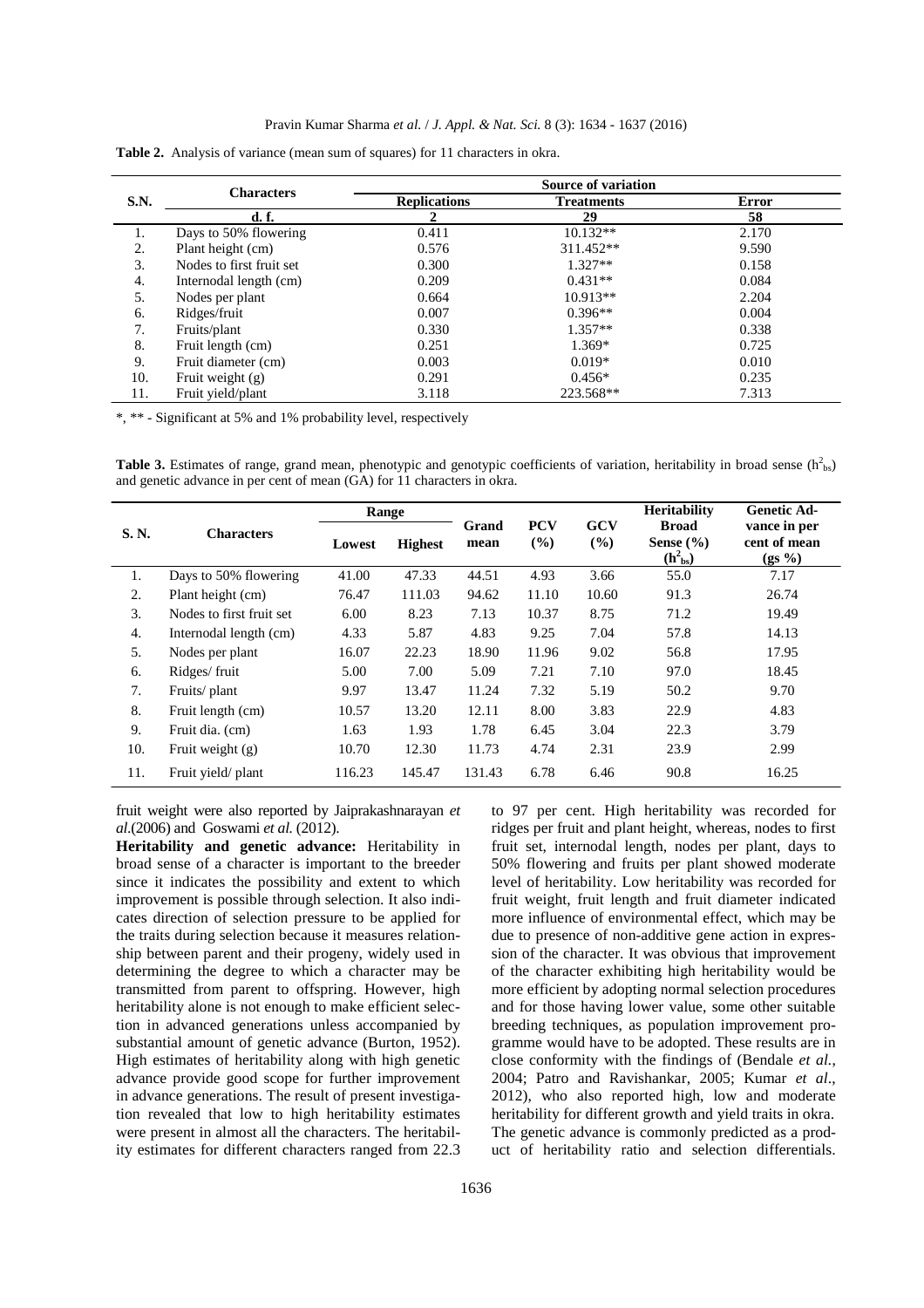|      | <b>Characters</b>        | Source of variation |                   |       |  |  |  |
|------|--------------------------|---------------------|-------------------|-------|--|--|--|
| S.N. |                          | <b>Replications</b> | <b>Treatments</b> | Error |  |  |  |
|      | d. f.                    |                     | 29                | 58    |  |  |  |
| 1.   | Days to 50% flowering    | 0.411               | $10.132**$        | 2.170 |  |  |  |
| 2.   | Plant height (cm)        | 0.576               | 311.452**         | 9.590 |  |  |  |
| 3.   | Nodes to first fruit set | 0.300               | $1.327**$         | 0.158 |  |  |  |
| 4.   | Internodal length (cm)   | 0.209               | $0.431**$         | 0.084 |  |  |  |
| 5.   | Nodes per plant          | 0.664               | $10.913**$        | 2.204 |  |  |  |
| 6.   | Ridges/fruit             | 0.007               | $0.396**$         | 0.004 |  |  |  |
| 7.   | Fruits/plant             | 0.330               | $1.357**$         | 0.338 |  |  |  |
| 8.   | Fruit length (cm)        | 0.251               | $1.369*$          | 0.725 |  |  |  |
| 9.   | Fruit diameter (cm)      | 0.003               | $0.019*$          | 0.010 |  |  |  |
| 10.  | Fruit weight $(g)$       | 0.291               | $0.456*$          | 0.235 |  |  |  |
| 11.  | Fruit yield/plant        | 3.118               | 223.568**         | 7.313 |  |  |  |

|  |  |  |  |  | <b>Table 2.</b> Analysis of variance (mean sum of squares) for 11 characters in okra. |
|--|--|--|--|--|---------------------------------------------------------------------------------------|
|--|--|--|--|--|---------------------------------------------------------------------------------------|

\*, \*\* - Significant at 5% and 1% probability level, respectively

Table 3. Estimates of range, grand mean, phenotypic and genotypic coefficients of variation, heritability in broad sense (h<sup>2</sup>bs) and genetic advance in per cent of mean (GA) for 11 characters in okra.

|       | <b>Characters</b>        | Range  |                |               |                      |               | <b>Heritability</b>                           | <b>Genetic Ad-</b>                       |
|-------|--------------------------|--------|----------------|---------------|----------------------|---------------|-----------------------------------------------|------------------------------------------|
| S. N. |                          | Lowest | <b>Highest</b> | Grand<br>mean | <b>PCV</b><br>$($ %) | GCV<br>$($ %) | <b>Broad</b><br>Sense $(\% )$<br>$(h_{bs}^2)$ | vance in per<br>cent of mean<br>$(gs\%)$ |
| 1.    | Days to 50% flowering    | 41.00  | 47.33          | 44.51         | 4.93                 | 3.66          | 55.0                                          | 7.17                                     |
| 2.    | Plant height (cm)        | 76.47  | 111.03         | 94.62         | 11.10                | 10.60         | 91.3                                          | 26.74                                    |
| 3.    | Nodes to first fruit set | 6.00   | 8.23           | 7.13          | 10.37                | 8.75          | 71.2                                          | 19.49                                    |
| 4.    | Internodal length (cm)   | 4.33   | 5.87           | 4.83          | 9.25                 | 7.04          | 57.8                                          | 14.13                                    |
| 5.    | Nodes per plant          | 16.07  | 22.23          | 18.90         | 11.96                | 9.02          | 56.8                                          | 17.95                                    |
| 6.    | Ridges/fruit             | 5.00   | 7.00           | 5.09          | 7.21                 | 7.10          | 97.0                                          | 18.45                                    |
| 7.    | Fruits/plant             | 9.97   | 13.47          | 11.24         | 7.32                 | 5.19          | 50.2                                          | 9.70                                     |
| 8.    | Fruit length (cm)        | 10.57  | 13.20          | 12.11         | 8.00                 | 3.83          | 22.9                                          | 4.83                                     |
| 9.    | Fruit dia. (cm)          | 1.63   | 1.93           | 1.78          | 6.45                 | 3.04          | 22.3                                          | 3.79                                     |
| 10.   | Fruit weight $(g)$       | 10.70  | 12.30          | 11.73         | 4.74                 | 2.31          | 23.9                                          | 2.99                                     |
| 11.   | Fruit yield/plant        | 116.23 | 145.47         | 131.43        | 6.78                 | 6.46          | 90.8                                          | 16.25                                    |

fruit weight were also reported by Jaiprakashnarayan *et al*.(2006) and Goswami *et al.* (2012).

**Heritability and genetic advance:** Heritability in broad sense of a character is important to the breeder since it indicates the possibility and extent to which improvement is possible through selection. It also indicates direction of selection pressure to be applied for the traits during selection because it measures relationship between parent and their progeny, widely used in determining the degree to which a character may be transmitted from parent to offspring. However, high heritability alone is not enough to make efficient selection in advanced generations unless accompanied by substantial amount of genetic advance (Burton, 1952). High estimates of heritability along with high genetic advance provide good scope for further improvement in advance generations. The result of present investigation revealed that low to high heritability estimates were present in almost all the characters. The heritability estimates for different characters ranged from 22.3

to 97 per cent. High heritability was recorded for ridges per fruit and plant height, whereas, nodes to first fruit set, internodal length, nodes per plant, days to 50% flowering and fruits per plant showed moderate level of heritability. Low heritability was recorded for fruit weight, fruit length and fruit diameter indicated more influence of environmental effect, which may be due to presence of non-additive gene action in expression of the character. It was obvious that improvement of the character exhibiting high heritability would be more efficient by adopting normal selection procedures and for those having lower value, some other suitable breeding techniques, as population improvement programme would have to be adopted. These results are in close conformity with the findings of (Bendale *et al.*, 2004; Patro and Ravishankar, 2005; Kumar *et al*., 2012), who also reported high, low and moderate heritability for different growth and yield traits in okra. The genetic advance is commonly predicted as a product of heritability ratio and selection differentials.